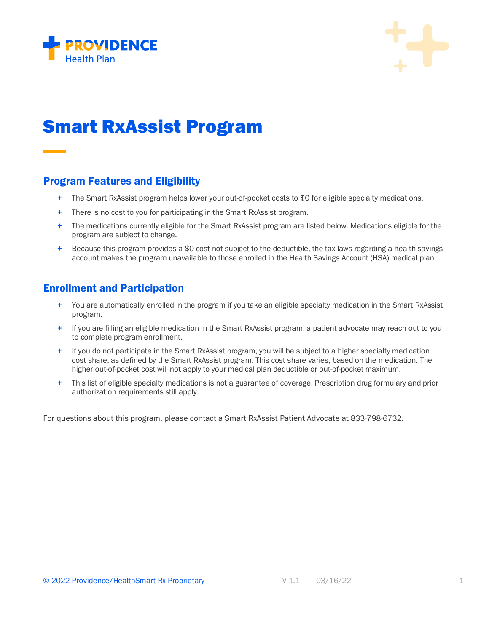



## Smart RxAssist Program

## Program Features and Eligibility

- + The Smart RxAssist program helps lower your out-of-pocket costs to \$0 for eligible specialty medications.
- + There is no cost to you for participating in the Smart RxAssist program.
- + The medications currently eligible for the Smart RxAssist program are listed below. Medications eligible for the program are subject to change.
- $+$  Because this program provides a \$0 cost not subject to the deductible, the tax laws regarding a health savings account makes the program unavailable to those enrolled in the Health Savings Account (HSA) medical plan.

## Enrollment and Participation

- + You are automatically enrolled in the program if you take an eligible specialty medication in the Smart RxAssist program.
- + If you are filling an eligible medication in the Smart RxAssist program, a patient advocate may reach out to you to complete program enrollment.
- + If you do not participate in the Smart RxAssist program, you will be subject to a higher specialty medication cost share, as defined by the Smart RxAssist program. This cost share varies, based on the medication. The higher out-of-pocket cost will not apply to your medical plan deductible or out-of-pocket maximum.
- + This list of eligible specialty medications is not a guarantee of coverage. Prescription drug formulary and prior authorization requirements still apply.

For questions about this program, please contact a Smart RxAssist Patient Advocate at 833-798-6732.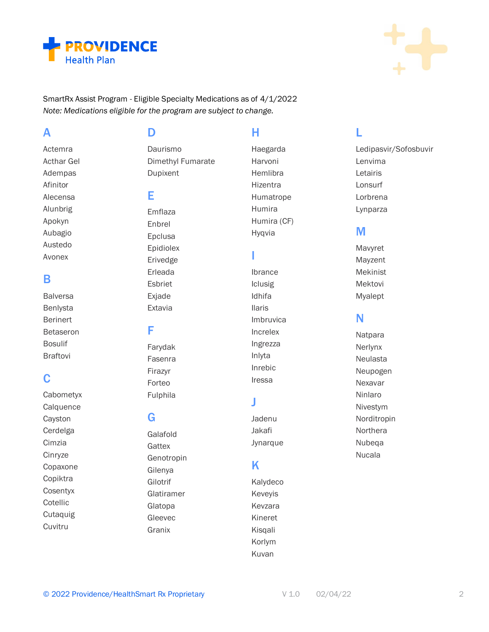



SmartRx Assist Program - Eligible Specialty Medications as of 4/1/2022 Note: Medications eligible for the program are subject to change.

## $\blacktriangle$

Actemra **Acthar Gel** Adempas Afinitor Alecensa Alunbrig Apokyn Aubagio Austedo Avonex

## B

**Balversa** Benlysta **Berinert Betaseron Bosulif Braftovi** 

## C

Cabometyx Calquence Cayston Cerdelga Cimzia Cinryze Copaxone Copiktra Cosentyx Cotellic Cutaquig Cuvitru

D

Daurismo Dimethyl Fumarate Dupixent

## Е

Emflaza Enbrel Epclusa Epidiolex Erivedge Erleada Esbriet Exjade Extavia

## F

Farydak Fasenra Firazyr Forteo Fulphila

## G

Galafold Gattex Genotropin Gilenya Gilotrif Glatiramer Glatopa Gleevec Granix

## н

Haegarda Harvoni Hemlibra Hizentra Humatrope Humira Humira (CF) Hyqvia

## п

Ibrance **Iclusig** Idhifa **Ilaris** Imbruvica Increlex Ingrezza Inlyta Inrebic Iressa

## J

Jadenu Jakafi Jynarque

## K

Kalydeco Keveyis Kevzara Kineret Kisgali Korlym Kuvan

## L

Ledipasvir/Sofosbuvir Lenvima Letairis Lonsurf Lorbrena Lynparza

## M

Mavyret Mayzent Mekinist Mektovi Myalept

## N

Natpara Nerlynx Neulasta Neupogen Nexavar Ninlaro Nivestym Norditropin Northera Nubega Nucala